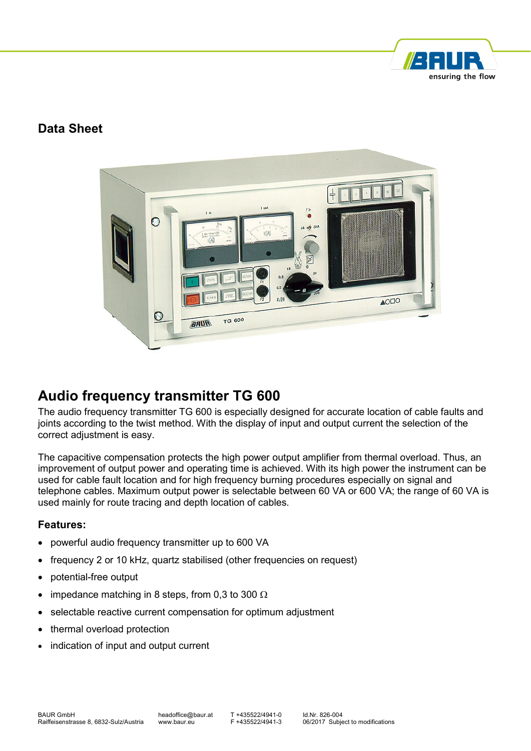

### **Data Sheet**



# **Audio frequency transmitter TG 600**

The audio frequency transmitter TG 600 is especially designed for accurate location of cable faults and joints according to the twist method. With the display of input and output current the selection of the correct adjustment is easy.

The capacitive compensation protects the high power output amplifier from thermal overload. Thus, an improvement of output power and operating time is achieved. With its high power the instrument can be used for cable fault location and for high frequency burning procedures especially on signal and telephone cables. Maximum output power is selectable between 60 VA or 600 VA; the range of 60 VA is used mainly for route tracing and depth location of cables.

#### **Features:**

- powerful audio frequency transmitter up to 600 VA
- frequency 2 or 10 kHz, quartz stabilised (other frequencies on request)
- potential-free output
- impedance matching in 8 steps, from 0.3 to 300  $\Omega$
- selectable reactive current compensation for optimum adjustment
- thermal overload protection
- indication of input and output current